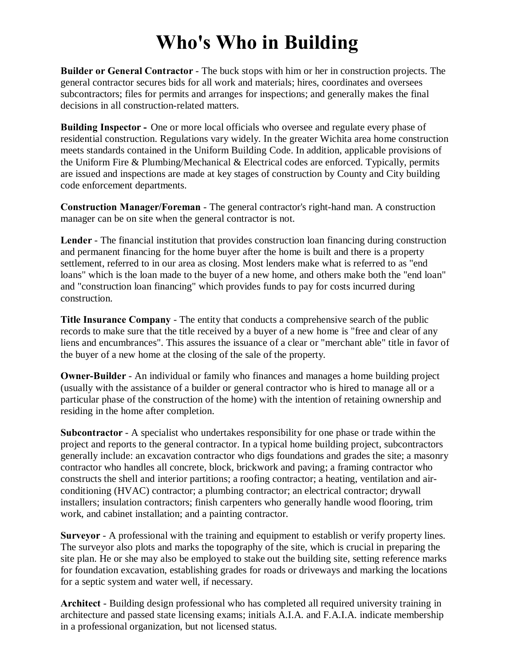## **Who's Who in Building**

**Builder or General Contractor** - The buck stops with him or her in construction projects. The general contractor secures bids for all work and materials; hires, coordinates and oversees subcontractors; files for permits and arranges for inspections; and generally makes the final decisions in all construction-related matters.

**Building Inspector -** One or more local officials who oversee and regulate every phase of residential construction. Regulations vary widely. In the greater Wichita area home construction meets standards contained in the Uniform Building Code. In addition, applicable provisions of the Uniform Fire & Plumbing/Mechanical & Electrical codes are enforced. Typically, permits are issued and inspections are made at key stages of construction by County and City building code enforcement departments.

**Construction Manager/Foreman** - The general contractor's right-hand man. A construction manager can be on site when the general contractor is not.

**Lender** - The financial institution that provides construction loan financing during construction and permanent financing for the home buyer after the home is built and there is a property settlement, referred to in our area as closing. Most lenders make what is referred to as "end loans" which is the loan made to the buyer of a new home, and others make both the "end loan" and "construction loan financing" which provides funds to pay for costs incurred during construction.

**Title Insurance Company** - The entity that conducts a comprehensive search of the public records to make sure that the title received by a buyer of a new home is "free and clear of any liens and encumbrances". This assures the issuance of a clear or "merchant able" title in favor of the buyer of a new home at the closing of the sale of the property.

**Owner-Builder** - An individual or family who finances and manages a home building project (usually with the assistance of a builder or general contractor who is hired to manage all or a particular phase of the construction of the home) with the intention of retaining ownership and residing in the home after completion.

**Subcontractor** - A specialist who undertakes responsibility for one phase or trade within the project and reports to the general contractor. In a typical home building project, subcontractors generally include: an excavation contractor who digs foundations and grades the site; a masonry contractor who handles all concrete, block, brickwork and paving; a framing contractor who constructs the shell and interior partitions; a roofing contractor; a heating, ventilation and airconditioning (HVAC) contractor; a plumbing contractor; an electrical contractor; drywall installers; insulation contractors; finish carpenters who generally handle wood flooring, trim work, and cabinet installation; and a painting contractor.

**Surveyor** - A professional with the training and equipment to establish or verify property lines. The surveyor also plots and marks the topography of the site, which is crucial in preparing the site plan. He or she may also be employed to stake out the building site, setting reference marks for foundation excavation, establishing grades for roads or driveways and marking the locations for a septic system and water well, if necessary.

**Architect** - Building design professional who has completed all required university training in architecture and passed state licensing exams; initials A.I.A. and F.A.I.A. indicate membership in a professional organization, but not licensed status.